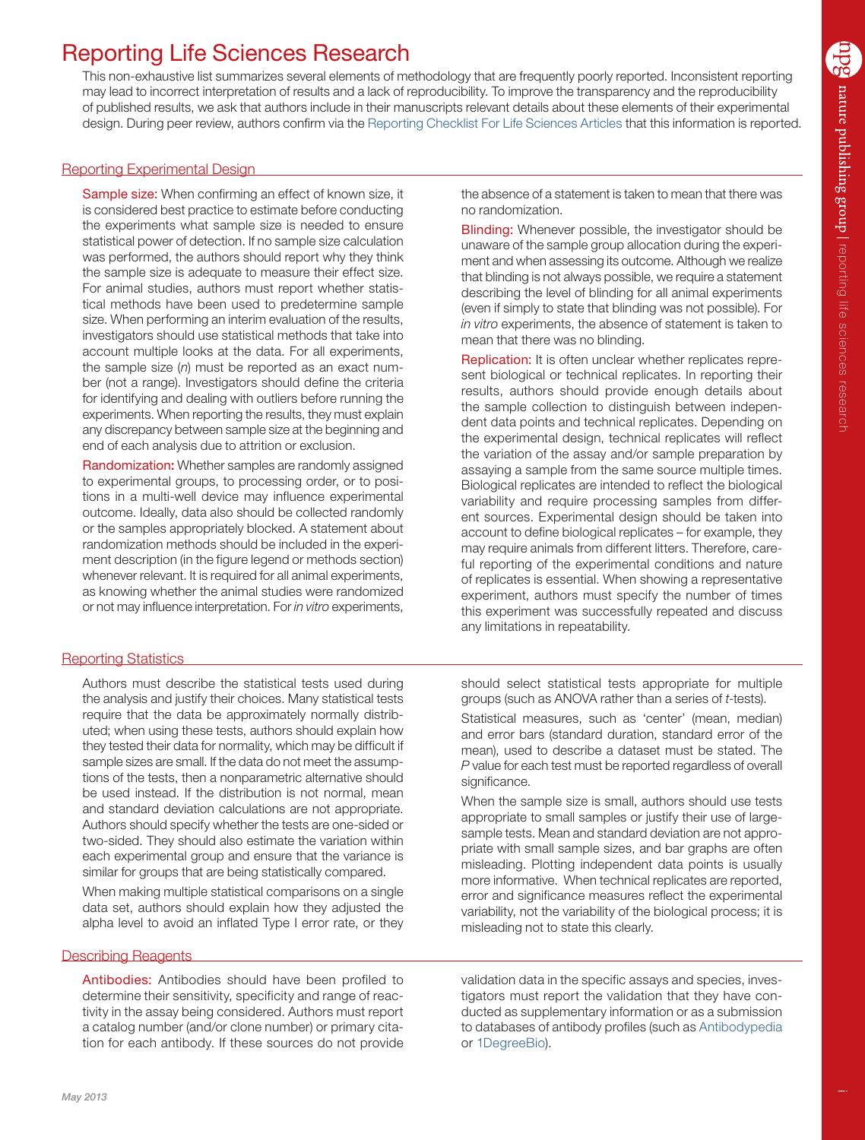# Reporting Life Sciences Research

This non-exhaustive list summarizes several elements of methodology that are frequently poorly reported. Inconsistent reporting may lead to incorrect interpretation of results and a lack of reproducibility. To improve the transparency and the reproducibility of published results, we ask that authors include in their manuscripts relevant details about these elements of their experimental design. During peer review, authors confirm via the [Reporting Checklist For Life Sciences Articles](http://www.nature.com/authors/policies/checklist.pdf) that this information is reported.

# Reporting Experimental Design

Sample size: When confirming an effect of known size, it is considered best practice to estimate before conducting the experiments what sample size is needed to ensure statistical power of detection. If no sample size calculation was performed, the authors should report why they think the sample size is adequate to measure their effect size. For animal studies, authors must report whether statistical methods have been used to predetermine sample size. When performing an interim evaluation of the results, investigators should use statistical methods that take into account multiple looks at the data. For all experiments, the sample size (*n*) must be reported as an exact number (not a range). Investigators should define the criteria for identifying and dealing with outliers before running the experiments. When reporting the results, they must explain any discrepancy between sample size at the beginning and end of each analysis due to attrition or exclusion.

Randomization: Whether samples are randomly assigned to experimental groups, to processing order, or to positions in a multi-well device may influence experimental outcome. Ideally, data also should be collected randomly or the samples appropriately blocked. A statement about randomization methods should be included in the experiment description (in the figure legend or methods section) whenever relevant. It is required for all animal experiments, as knowing whether the animal studies were randomized or not may influence interpretation. For *in vitro* experiments,

# Reporting Statistics

Authors must describe the statistical tests used during the analysis and justify their choices. Many statistical tests require that the data be approximately normally distributed; when using these tests, authors should explain how they tested their data for normality, which may be difficult if sample sizes are small. If the data do not meet the assumptions of the tests, then a nonparametric alternative should be used instead. If the distribution is not normal, mean and standard deviation calculations are not appropriate. Authors should specify whether the tests are one-sided or two-sided. They should also estimate the variation within each experimental group and ensure that the variance is similar for groups that are being statistically compared.

When making multiple statistical comparisons on a single data set, authors should explain how they adjusted the alpha level to avoid an inflated Type I error rate, or they

## Describing Reagents

Antibodies: Antibodies should have been profiled to determine their sensitivity, specificity and range of reactivity in the assay being considered. Authors must report a catalog number (and/or clone number) or primary citation for each antibody. If these sources do not provide

the absence of a statement is taken to mean that there was no randomization.

Blinding: Whenever possible, the investigator should be unaware of the sample group allocation during the experiment and when assessing its outcome. Although we realize that blinding is not always possible, we require a statement describing the level of blinding for all animal experiments (even if simply to state that blinding was not possible). For *in vitro* experiments, the absence of statement is taken to mean that there was no blinding.

Replication: It is often unclear whether replicates represent biological or technical replicates. In reporting their results, authors should provide enough details about the sample collection to distinguish between independent data points and technical replicates. Depending on the experimental design, technical replicates will reflect the variation of the assay and/or sample preparation by assaying a sample from the same source multiple times. Biological replicates are intended to reflect the biological variability and require processing samples from different sources. Experimental design should be taken into account to define biological replicates – for example, they may require animals from different litters. Therefore, careful reporting of the experimental conditions and nature of replicates is essential. When showing a representative experiment, authors must specify the number of times this experiment was successfully repeated and discuss any limitations in repeatability.

should select statistical tests appropriate for multiple groups (such as ANOVA rather than a series of *t*-tests).

Statistical measures, such as 'center' (mean, median) and error bars (standard duration, standard error of the mean), used to describe a dataset must be stated. The *P* value for each test must be reported regardless of overall significance.

When the sample size is small, authors should use tests appropriate to small samples or justify their use of largesample tests. Mean and standard deviation are not appropriate with small sample sizes, and bar graphs are often misleading. Plotting independent data points is usually more informative. When technical replicates are reported, error and significance measures reflect the experimental variability, not the variability of the biological process; it is misleading not to state this clearly.

validation data in the specific assays and species, investigators must report the validation that they have conducted as supplementary information or as a submission to databases of antibody profiles (such as [Antibodypedia](http://www.antibodypedia.com/text.php) or [1DegreeBio](http://1degreebio.org/)).